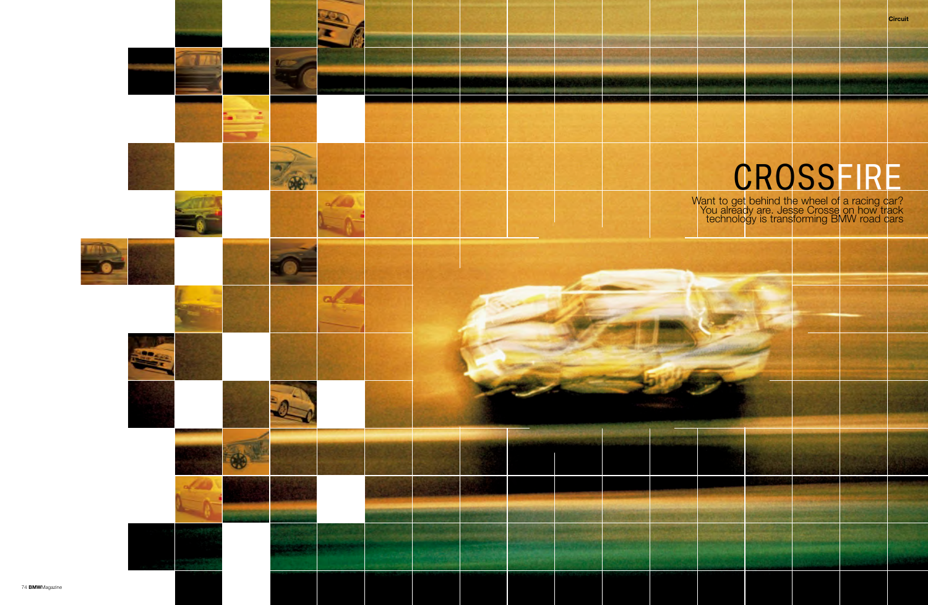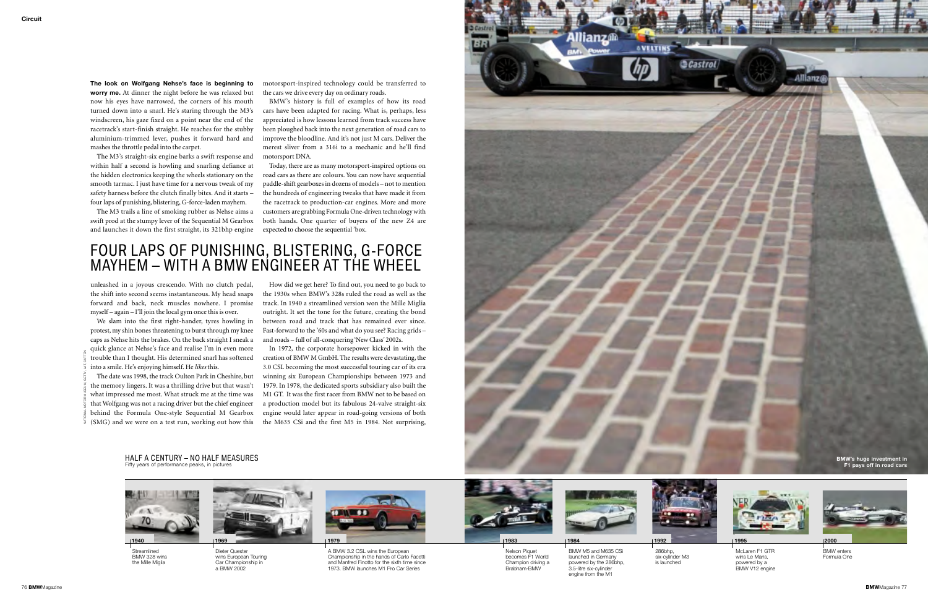**The look on Wolfgang Nehse's face is beginning to worry me.** At dinner the night before he was relaxed but now his eyes have narrowed, the corners of his mouth turned down into a snarl. He's staring through the M3's windscreen, his gaze fixed on a point near the end of the racetrack's start-finish straight. He reaches for the stubby aluminium-trimmed lever, pushes it forward hard and mashes the throttle pedal into the carpet.

The M3's straight-six engine barks a swift response and within half a second is howling and snarling defiance at the hidden electronics keeping the wheels stationary on the smooth tarmac. I just have time for a nervous tweak of my safety harness before the clutch finally bites. And it starts – four laps of punishing, blistering, G-force-laden mayhem.

The M3 trails a line of smoking rubber as Nehse aims a swift prod at the stumpy lever of the Sequential M Gearbox and launches it down the first straight, its 321bhp engine

unleashed in a joyous crescendo. With no clutch pedal, the shift into second seems instantaneous. My head snaps forward and back, neck muscles nowhere. I promise track. In 1940 a streamlined version won the Mille Miglia myself – again – I'll join the local gym once this is over.

We slam into the first right-hander, tyres howling in protest, my shin bones threatening to burst through my knee caps as Nehse hits the brakes. On the back straight I sneak a quick glance at Nehse's face and realise I'm in even more trouble than I thought. His determined snarl has softened into a smile. He's enjoying himself. He *likes* this.

The date was 1998, the track Oulton Park in Cheshire, but the memory lingers. It was a thrilling drive but that wasn't what impressed me most. What struck me at the time was that Wolfgang was not a racing driver but the chief engineer behind the Formula One-style Sequential M Gearbox (SMG) and we were on a test run, working out how this

motorsport-inspired technology could be transferred to the cars we drive every day on ordinary roads.

BMW's history is full of examples of how its road cars have been adapted for racing. What is, perhaps, less appreciated is how lessons learned from track success have been ploughed back into the next generation of road cars to improve the bloodline. And it's not just M cars. Deliver the merest sliver from a 316i to a mechanic and he'll find motorsport DNA.

> 286bhp,<br>six-cylinder M3 **1992**

Today, there are as many motorsport-inspired options on road cars as there are colours. You can now have sequential paddle-shift gearboxes in dozens of models – not to mention the hundreds of engineering tweaks that have made it from the racetrack to production-car engines. More and more customers are grabbing Formula One-driven technology with both hands. One quarter of buyers of the new Z4 are expected to choose the sequential 'box.

How did we get here? To find out, you need to go back to the 1930s when BMW's 328s ruled the road as well as the outright. It set the tone for the future, creating the bond between road and track that has remained ever since. Fast-forward to the '60s and what do you see? Racing grids – and roads – full of all-conquering 'New Class' 2002s.

In 1972, the corporate horsepower kicked in with the creation of BMW M GmbH. The results were devastating, the 3.0 CSL becoming the most successful touring car of its era winning six European Championships between 1973 and 1979. In 1978, the dedicated sports subsidiary also built the M1 GT. It was the first racer from BMW not to be based on a production model but its fabulous 24-valve straight-six engine would later appear in road-going versions of both the M635 CSi and the first M5 in 1984. Not surprising,





Nelson Piquet becomes F1 World Champion driving a Brabham-BMWBMW M5 and M635 CSilaunched in Germany powered by the 286bhp, 3.5-litre six-cylinder engine from the M1



Dieter Quester wins European Touring Car Championship in a BMW 2002



A BMW 3.2 CSL wins the European Championship in the hands of Carlo Facetti and Manfred Finotto for the sixth time since 1973. BMW launches M1 Pro Car Series



McLaren F1 GTRwins Le Mans, powered by a BMW V12 engine





is launched

BMW entersFormula One

## FOUR LAPS OF PUNISHING, BLISTERING, G-FORCE MAYHEM – WITH A BMW ENGINEER AT THE WHEEL



**Streamlined**  BMW 328 wins the Mille Miglia



**BMW's huge investment in F1 pays off in road cars** 

HALF A CENTURY – NO HALF MEASURESFifty years of performance peaks, in pictures

NATIONAL MOTOR MUSEUM, GETTY, LAT, SUTTON

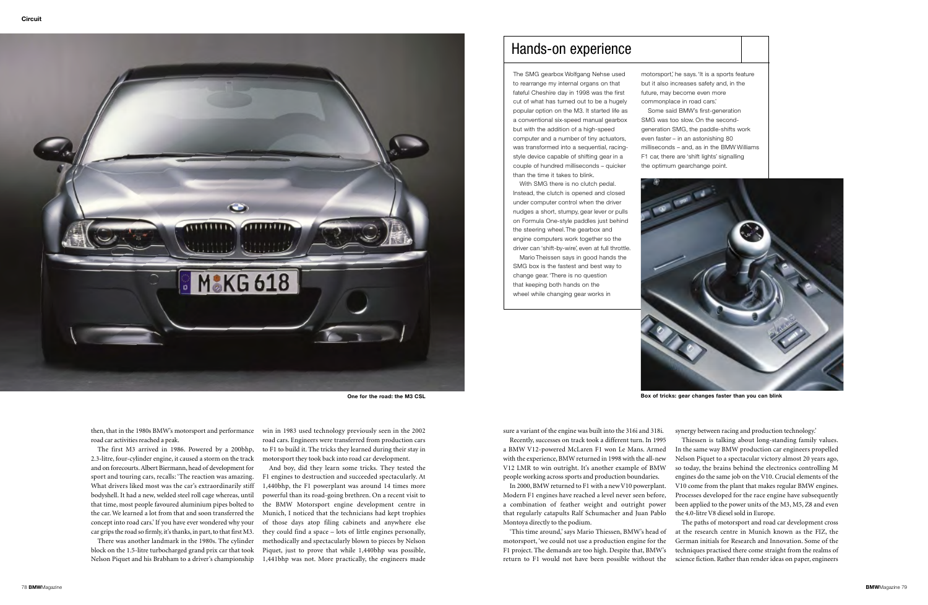

road car activities reached a peak.

The first M3 arrived in 1986. Powered by a 200bhp, 2.3-litre, four-cylinder engine, it caused a storm on the track and on forecourts. Albert Biermann, head of development for sport and touring cars, recalls: 'The reaction was amazing. What drivers liked most was the car's extraordinarily stiff bodyshell. It had a new, welded steel roll cage whereas, until that time, most people favoured aluminium pipes bolted to the car. We learned a lot from that and soon transferred theconcept into road cars.' If you have ever wondered why your car grips the road so firmly, it's thanks, in part, to that first M3.

then, that in the 1980s BMW's motorsport and performance win in 1983 used technology previously seen in the 2002 road cars. Engineers were transferred from production cars to F1 to build it. The tricks they learned during their stay in motorsport they took back into road car development.

There was another landmark in the 1980s. The cylinder block on the 1.5-litre turbocharged grand prix car that took Nelson Piquet and his Brabham to a driver's championship

And boy, did they learn some tricks. They tested the F1 engines to destruction and succeeded spectacularly. At 1,440bhp, the F1 powerplant was around 14 times more powerful than its road-going brethren. On a recent visit to the BMW Motorsport engine development centre in Munich, I noticed that the technicians had kept trophies of those days atop filing cabinets and anywhere else they could find a space – lots of little engines personally, methodically and spectacularly blown to pieces by Nelson Piquet, just to prove that while 1,440bhp was possible, 1,441bhp was not. More practically, the engineers made

sure a variant of the engine was built into the 316i and 318i.

Recently, successes on track took a different turn. In 1995 a BMW V12-powered McLaren F1 won Le Mans. Armed with the experience, BMW returned in 1998 with the all-new V12 LMR to win outright. It's another example of BMW people working across sports and production boundaries.

In 2000, BMW returned to F1 with a new V10 powerplant. Modern F1 engines have reached a level never seen before, a combination of feather weight and outright power that regularly catapults Ralf Schumacher and Juan Pablo Montoya directly to the podium.

'This time around,' says Mario Thiessen, BMW's head of motorsport, 'we could not use a production engine for the F1 project. The demands are too high. Despite that, BMW's return to F1 would not have been possible without the

synergy between racing and production technology.'

Thiessen is talking about long-standing family values. In the same way BMW production car engineers propelled Nelson Piquet to a spectacular victory almost 20 years ago, so today, the brains behind the electronics controlling M engines do the same job on the V10. Crucial elements of the V10 come from the plant that makes regular BMW engines. Processes developed for the race engine have subsequently been applied to the power units of the M3, M5, Z8 and even the 4.0-litre V8 diesel sold in Europe. The paths of motorsport and road car development cross at the research centre in Munich known as the FIZ, the

German initials for Research and Innovation. Some of thetechniques practised there come straight from the realms of science fiction. Rather than render ideas on paper, engineers

**One for the road: the M3 CSL** 

## Hands-on experience

The SMG gearbox Wolfgang Nehse used to rearrange my internal organs on that fateful Cheshire day in 1998 was the first cut of what has turned out to be a hugely popular option on the M3. It started life as a conventional six-speed manual gearbox but with the addition of a high-speed computer and a number of tiny actuators, was transformed into a sequential, racingstyle device capable of shifting gear in a couple of hundred milliseconds – quicker than the time it takes to blink.

With SMG there is no clutch pedal. Instead, the clutch is opened and closed under computer control when the driver nudges a short, stumpy, gear lever or pulls on Formula One-style paddles just behind the steering wheel.The gearbox and engine computers work together so the driver can 'shift-by-wire', even at full throttle. Mario Theissen says in good hands the SMG box is the fastest and best way to change gear.'There is no question that keeping both hands on the wheel while changing gear works in



- F1 car, there are 'shift lights' signalling
	-



**Box of tricks: gear changes faster than you can blink**